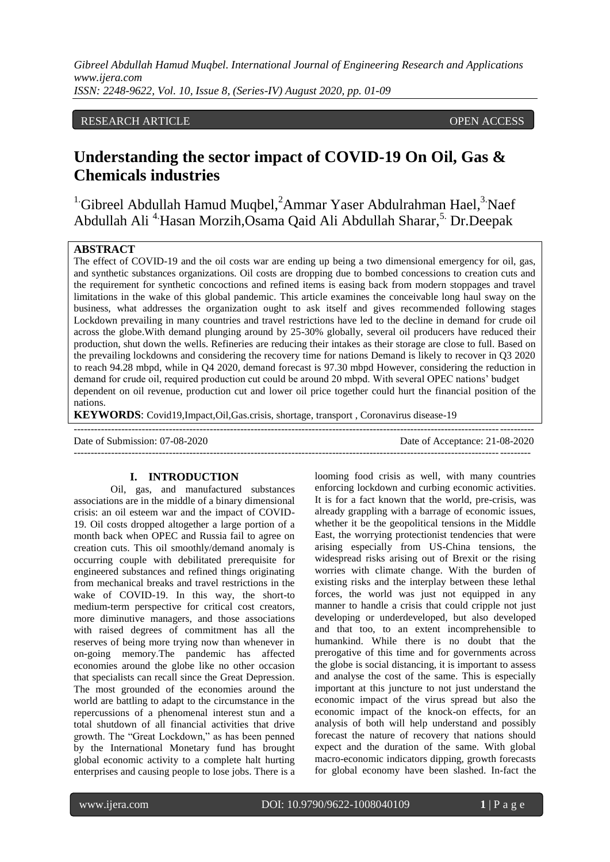## RESEARCH ARTICLE **ARTICLE** AND **CONSIDERED ACCESS** OPEN ACCESS OPEN ACCESS

# **Understanding the sector impact of COVID-19 On Oil, Gas & Chemicals industries**

<sup>1.</sup>Gibreel Abdullah Hamud Muqbel,<sup>2</sup>Ammar Yaser Abdulrahman Hael,<sup>3</sup>.Naef Abdullah Ali<sup>4</sup> Hasan Morzih,Osama Qaid Ali Abdullah Sharar,<sup>5.</sup> Dr.Deepak

#### **ABSTRACT**

The effect of COVID-19 and the oil costs war are ending up being a two dimensional emergency for oil, gas, and synthetic substances organizations. Oil costs are dropping due to bombed concessions to creation cuts and the requirement for synthetic concoctions and refined items is easing back from modern stoppages and travel limitations in the wake of this global pandemic. This article examines the conceivable long haul sway on the business, what addresses the organization ought to ask itself and gives recommended following stages Lockdown prevailing in many countries and travel restrictions have led to the decline in demand for crude oil across the globe.With demand plunging around by 25-30% globally, several oil producers have reduced their production, shut down the wells. Refineries are reducing their intakes as their storage are close to full. Based on the prevailing lockdowns and considering the recovery time for nations Demand is likely to recover in Q3 2020 to reach 94.28 mbpd, while in Q4 2020, demand forecast is 97.30 mbpd However, considering the reduction in demand for crude oil, required production cut could be around 20 mbpd. With several OPEC nations' budget dependent on oil revenue, production cut and lower oil price together could hurt the financial position of the nations.

---------------------------------------------------------------------------------------------------------------------------------------

**KEYWORDS**: Covid19,Impact,Oil,Gas.crisis, shortage, transport , Coronavirus disease-19

Date of Submission: 07-08-2020 Date of Acceptance: 21-08-2020

--------------------------------------------------------------------------------------------------------------------------------------

#### **I. INTRODUCTION**

Oil, gas, and manufactured substances associations are in the middle of a binary dimensional crisis: an oil esteem war and the impact of COVID-19. Oil costs dropped altogether a large portion of a month back when OPEC and Russia fail to agree on creation cuts. This oil smoothly/demand anomaly is occurring couple with debilitated prerequisite for engineered substances and refined things originating from mechanical breaks and travel restrictions in the wake of COVID-19. In this way, the short-to medium-term perspective for critical cost creators, more diminutive managers, and those associations with raised degrees of commitment has all the reserves of being more trying now than whenever in on-going memory.The pandemic has affected economies around the globe like no other occasion that specialists can recall since the Great Depression. The most grounded of the economies around the world are battling to adapt to the circumstance in the repercussions of a phenomenal interest stun and a total shutdown of all financial activities that drive growth. The "Great Lockdown," as has been penned by the International Monetary fund has brought global economic activity to a complete halt hurting enterprises and causing people to lose jobs. There is a looming food crisis as well, with many countries enforcing lockdown and curbing economic activities. It is for a fact known that the world, pre-crisis, was already grappling with a barrage of economic issues, whether it be the geopolitical tensions in the Middle East, the worrying protectionist tendencies that were arising especially from US-China tensions, the widespread risks arising out of Brexit or the rising worries with climate change. With the burden of existing risks and the interplay between these lethal forces, the world was just not equipped in any manner to handle a crisis that could cripple not just developing or underdeveloped, but also developed and that too, to an extent incomprehensible to humankind. While there is no doubt that the prerogative of this time and for governments across the globe is social distancing, it is important to assess and analyse the cost of the same. This is especially important at this juncture to not just understand the economic impact of the virus spread but also the economic impact of the knock-on effects, for an analysis of both will help understand and possibly forecast the nature of recovery that nations should expect and the duration of the same. With global macro-economic indicators dipping, growth forecasts for global economy have been slashed. In-fact the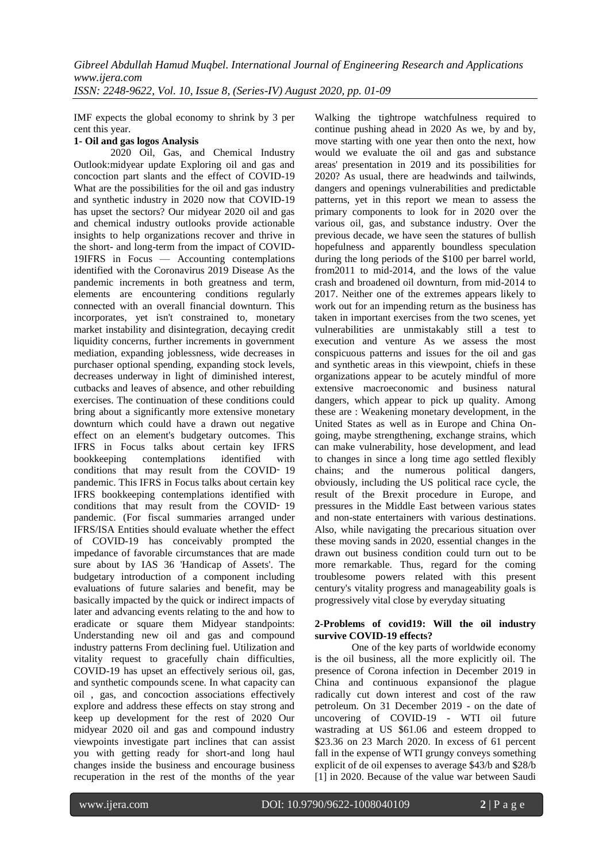IMF expects the global economy to shrink by 3 per cent this year.

## **1- Oil and gas logos Analysis**

2020 Oil, Gas, and Chemical Industry Outlook:midyear update Exploring oil and gas and concoction part slants and the effect of COVID-19 What are the possibilities for the oil and gas industry and synthetic industry in 2020 now that COVID-19 has upset the sectors? Our midyear 2020 oil and gas and chemical industry outlooks provide actionable insights to help organizations recover and thrive in the short- and long-term from the impact of COVID-19IFRS in Focus — Accounting contemplations identified with the Coronavirus 2019 Disease As the pandemic increments in both greatness and term, elements are encountering conditions regularly connected with an overall financial downturn. This incorporates, yet isn't constrained to, monetary market instability and disintegration, decaying credit liquidity concerns, further increments in government mediation, expanding joblessness, wide decreases in purchaser optional spending, expanding stock levels, decreases underway in light of diminished interest, cutbacks and leaves of absence, and other rebuilding exercises. The continuation of these conditions could bring about a significantly more extensive monetary downturn which could have a drawn out negative effect on an element's budgetary outcomes. This IFRS in Focus talks about certain key IFRS bookkeeping contemplations identified with conditions that may result from the COVID-19 pandemic. This IFRS in Focus talks about certain key IFRS bookkeeping contemplations identified with conditions that may result from the COVID-19 pandemic. (For fiscal summaries arranged under IFRS/ISA Entities should evaluate whether the effect of COVID-19 has conceivably prompted the impedance of favorable circumstances that are made sure about by IAS 36 'Handicap of Assets'. The budgetary introduction of a component including evaluations of future salaries and benefit, may be basically impacted by the quick or indirect impacts of later and advancing events relating to the and how to eradicate or square them Midyear standpoints: Understanding new oil and gas and compound industry patterns From declining fuel. Utilization and vitality request to gracefully chain difficulties, COVID-19 has upset an effectively serious oil, gas, and synthetic compounds scene. In what capacity can oil , gas, and concoction associations effectively explore and address these effects on stay strong and keep up development for the rest of 2020 Our midyear 2020 oil and gas and compound industry viewpoints investigate part inclines that can assist you with getting ready for short-and long haul changes inside the business and encourage business recuperation in the rest of the months of the year

Walking the tightrope watchfulness required to continue pushing ahead in 2020 As we, by and by, move starting with one year then onto the next, how would we evaluate the oil and gas and substance areas' presentation in 2019 and its possibilities for 2020? As usual, there are headwinds and tailwinds, dangers and openings vulnerabilities and predictable patterns, yet in this report we mean to assess the primary components to look for in 2020 over the various oil, gas, and substance industry. Over the previous decade, we have seen the statures of bullish hopefulness and apparently boundless speculation during the long periods of the \$100 per barrel world, from2011 to mid-2014, and the lows of the value crash and broadened oil downturn, from mid-2014 to 2017. Neither one of the extremes appears likely to work out for an impending return as the business has taken in important exercises from the two scenes, yet vulnerabilities are unmistakably still a test to execution and venture As we assess the most conspicuous patterns and issues for the oil and gas and synthetic areas in this viewpoint, chiefs in these organizations appear to be acutely mindful of more extensive macroeconomic and business natural dangers, which appear to pick up quality. Among these are : Weakening monetary development, in the United States as well as in Europe and China Ongoing, maybe strengthening, exchange strains, which can make vulnerability, hose development, and lead to changes in since a long time ago settled flexibly chains; and the numerous political dangers, obviously, including the US political race cycle, the result of the Brexit procedure in Europe, and pressures in the Middle East between various states and non-state entertainers with various destinations. Also, while navigating the precarious situation over these moving sands in 2020, essential changes in the drawn out business condition could turn out to be more remarkable. Thus, regard for the coming troublesome powers related with this present century's vitality progress and manageability goals is progressively vital close by everyday situating

## **2-Problems of covid19: Will the oil industry survive COVID-19 effects?**

One of the key parts of worldwide economy is the oil business, all the more explicitly oil. The presence of Corona infection in December 2019 in China and continuous expansionof the plague radically cut down interest and cost of the raw petroleum. On 31 December 2019 - on the date of uncovering of COVID-19 - WTI oil future wastrading at US \$61.06 and esteem dropped to \$23.36 on 23 March 2020. In excess of 61 percent fall in the expense of WTI grungy conveys something explicit of de oil expenses to average \$43/b and \$28/b [1] in 2020. Because of the value war between Saudi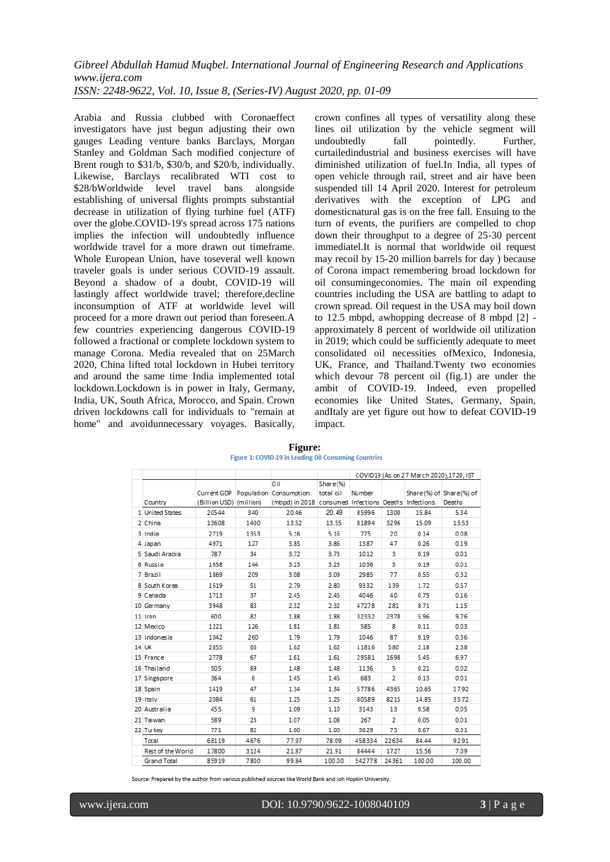Arabia and Russia clubbed with Coronaeffect investigators have just begun adjusting their own gauges Leading venture banks Barclays, Morgan Stanley and Goldman Sach modified conjecture of Brent rough to \$31/b, \$30/b, and \$20/b, individually. Likewise, Barclays recalibrated WTI cost to \$28/bWorldwide level travel bans alongside establishing of universal flights prompts substantial decrease in utilization of flying turbine fuel (ATF) over the globe.COVID-19's spread across 175 nations implies the infection will undoubtedly influence worldwide travel for a more drawn out timeframe. Whole European Union, have toseveral well known traveler goals is under serious COVID-19 assault. Beyond a shadow of a doubt, COVID-19 will lastingly affect worldwide travel; therefore,decline inconsumption of ATF at worldwide level will proceed for a more drawn out period than foreseen.A few countries experiencing dangerous COVID-19 followed a fractional or complete lockdown system to manage Corona. Media revealed that on 25March 2020, China lifted total lockdown in Hubei territory and around the same time India implemented total lockdown.Lockdown is in power in Italy, Germany, India, UK, South Africa, Morocco, and Spain. Crown driven lockdowns call for individuals to "remain at home" and avoidunnecessary voyages. Basically,

crown confines all types of versatility along these lines oil utilization by the vehicle segment will undoubtedly fall pointedly. Further, curtailedindustrial and business exercises will have diminished utilization of fuel.In India, all types of open vehicle through rail, street and air have been suspended till 14 April 2020. Interest for petroleum derivatives with the exception of LPG and domesticnatural gas is on the free fall. Ensuing to the turn of events, the purifiers are compelled to chop down their throughput to a degree of 25-30 percent immediatel.It is normal that worldwide oil request may recoil by 15-20 million barrels for day ) because of Corona impact remembering broad lockdown for oil consumingeconomies. The main oil expending countries including the USA are battling to adapt to crown spread. Oil request in the USA may boil down to 12.5 mbpd, awhopping decrease of 8 mbpd [2] approximately 8 percent of worldwide oil utilization in 2019; which could be sufficiently adequate to meet consolidated oil necessities ofMexico, Indonesia, UK, France, and Thailand.Twenty two economies which devour 78 percent oil (fig.1) are under the ambit of COVID-19. Indeed, even propelled economies like United States, Germany, Spain, andItaly are yet figure out how to defeat COVID-19 impact.

|                   |                         |      |                                                      |           |        | COVID19 (As on 27 March 2020),1720, IST |                         |        |
|-------------------|-------------------------|------|------------------------------------------------------|-----------|--------|-----------------------------------------|-------------------------|--------|
|                   |                         |      | Oil                                                  | Share (%) |        |                                         |                         |        |
|                   | Current GDP             |      | Population Consumption                               | total oil | Number |                                         | Share(%) of Share(%) of |        |
| Country           | (Billion USD) (million) |      | (mbpd) in 2018 consumed Infections Deaths Infections |           |        |                                         |                         | Deaths |
| 1 United States   | 20544                   | 340  | 20.46                                                | 20.49     | 85996  | 1300                                    | 15.84                   | 5.34   |
| 2 China           | 13608                   | 1400 | 13.52                                                | 13.55     | 81894  | 3296                                    | 15.09                   | 13.53  |
| 3 India           | 2719                    | 1353 | 5.16                                                 | 5.16      | 775    | 20                                      | 0.14                    | 0.08   |
| 4 Japan           | 4971                    | 127  | 3.85                                                 | 3.86      | 1387   | 47                                      | 0.26                    | 0.19   |
| 5 Saudi Arabia    | 787                     | 34   | 3.72                                                 | 3.73      | 1012   | 3                                       | 0.19                    | 0.01   |
| 6 Russia          | 1658                    | 144  | 3.23                                                 | 3.23      | 1036   | 3                                       | 0.19                    | 0.01   |
| 7 Brazil          | 1869                    | 209  | 3.08                                                 | 3.09      | 2985   | 77                                      | 0.55                    | 0.32   |
| 8 South Korea     | 1619                    | 51   | 2.79                                                 | 2.80      | 9332   | 139                                     | 1.72                    | 0.57   |
| 9 Canada          | 1713                    | 37   | 2.45                                                 | 2.45      | 4046   | 40                                      | 0.75                    | 0.16   |
| 10 Germany        | 3948                    | 83   | 2.32                                                 | 2.32      | 47278  | 281                                     | 8.71                    | 1.15   |
| 11 Iran           | 600                     | 82   | 1.88                                                 | 1.88      | 32332  | 2378                                    | 5.96                    | 9.76   |
| 12 Mexico         | 1221                    | 126  | 1.81                                                 | 1.81      | 585    | 8                                       | 0.11                    | 0.03   |
| 13 Indonesia      | 1042                    | 260  | 1.79                                                 | 1.79      | 1046   | 87                                      | 0.19                    | 0.36   |
| 14 UK             | 2855                    | 66   | 1.62                                                 | 1.62      | 11816  | 580                                     | 2.18                    | 2.38   |
| 15 France         | 2778                    | 67   | 1.61                                                 | 1.61      | 29581  | 1698                                    | 5.45                    | 6.97   |
| 16 Thailand       | 505                     | 69   | 1.48                                                 | 1.48      | 1136   | 5                                       | 0.21                    | 0.02   |
| 17 Singapore      | 364                     | 6    | 1.45                                                 | 1.45      | 683    | 2                                       | 0.13                    | 0.01   |
| 18 Spain          | 1419                    | 47   | 1.34                                                 | 1.34      | 57786  | 4365                                    | 10.65                   | 17.92  |
| 19 Italy          | 2084                    | 61   | 1.25                                                 | 1.25      | 80589  | 8215                                    | 14.85                   | 33.72  |
| 20 Australia      | 455                     | 9    | 1.09                                                 | 1.10      | 3143   | 13                                      | 0.58                    | 0.05   |
| 21 Taiwan         | 589                     | 23   | 1.07                                                 | 1.08      | 267    | 2                                       | 0.05                    | 0.01   |
| 22 Turkey         | 771                     | 82   | 1.00                                                 | 1.00      | 3629   | 75                                      | 0.67                    | 0.31   |
| Total             | 68119                   | 4676 | 77.97                                                | 78.09     | 458334 | 22634                                   | 84.44                   | 92.91  |
| Rest of the World | 17800                   | 3124 | 21.87                                                | 21.91     | 84444  | 1727                                    | 15.56                   | 7.09   |
| Grand Total       | 85919                   | 7800 | 99.84                                                | 100.00    | 542778 | 24361                                   | 100.00                  | 100.00 |

**Figure:**<br>Figure 1: COVID-19 in Leading Oil Consuming Countries

Source: Prepared by the author from various published sources like World Bank and Joh Hopkin University.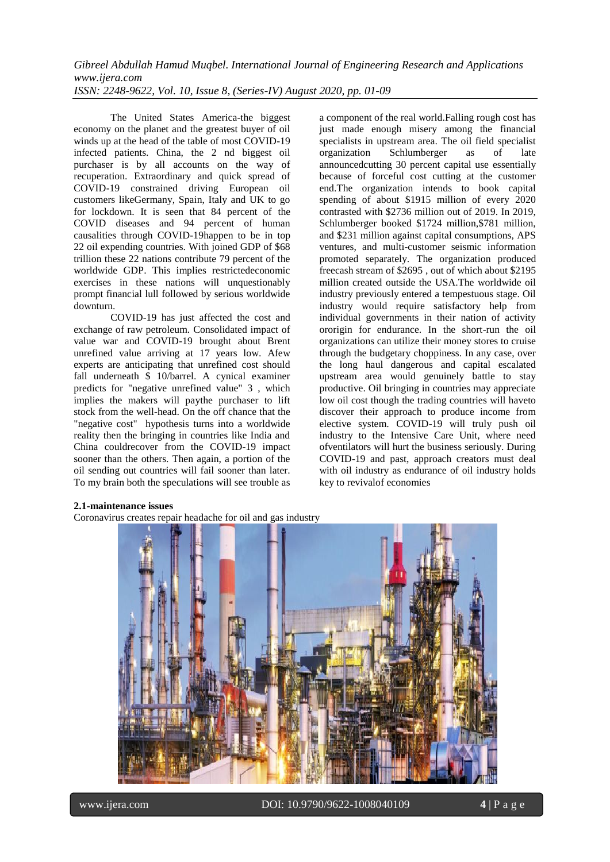The United States America-the biggest economy on the planet and the greatest buyer of oil winds up at the head of the table of most COVID-19 infected patients. China, the 2 nd biggest oil purchaser is by all accounts on the way of recuperation. Extraordinary and quick spread of COVID-19 constrained driving European oil customers likeGermany, Spain, Italy and UK to go for lockdown. It is seen that 84 percent of the COVID diseases and 94 percent of human causalities through COVID-19happen to be in top 22 oil expending countries. With joined GDP of \$68 trillion these 22 nations contribute 79 percent of the worldwide GDP. This implies restrictedeconomic exercises in these nations will unquestionably prompt financial lull followed by serious worldwide downturn.

COVID-19 has just affected the cost and exchange of raw petroleum. Consolidated impact of value war and COVID-19 brought about Brent unrefined value arriving at 17 years low. Afew experts are anticipating that unrefined cost should fall underneath \$ 10/barrel. A cynical examiner predicts for "negative unrefined value" 3 , which implies the makers will paythe purchaser to lift stock from the well-head. On the off chance that the "negative cost" hypothesis turns into a worldwide reality then the bringing in countries like India and China couldrecover from the COVID-19 impact sooner than the others. Then again, a portion of the oil sending out countries will fail sooner than later. To my brain both the speculations will see trouble as a component of the real world.Falling rough cost has just made enough misery among the financial specialists in upstream area. The oil field specialist organization Schlumberger as of late announcedcutting 30 percent capital use essentially because of forceful cost cutting at the customer end.The organization intends to book capital spending of about \$1915 million of every 2020 contrasted with \$2736 million out of 2019. In 2019, Schlumberger booked \$1724 million,\$781 million, and \$231 million against capital consumptions, APS ventures, and multi-customer seismic information promoted separately. The organization produced freecash stream of \$2695 , out of which about \$2195 million created outside the USA.The worldwide oil industry previously entered a tempestuous stage. Oil industry would require satisfactory help from individual governments in their nation of activity ororigin for endurance. In the short-run the oil organizations can utilize their money stores to cruise through the budgetary choppiness. In any case, over the long haul dangerous and capital escalated upstream area would genuinely battle to stay productive. Oil bringing in countries may appreciate low oil cost though the trading countries will haveto discover their approach to produce income from elective system. COVID-19 will truly push oil industry to the Intensive Care Unit, where need ofventilators will hurt the business seriously. During COVID-19 and past, approach creators must deal with oil industry as endurance of oil industry holds key to revivalof economies

## **2.1-maintenance issues**

Coronavirus creates repair headache for oil and gas industry

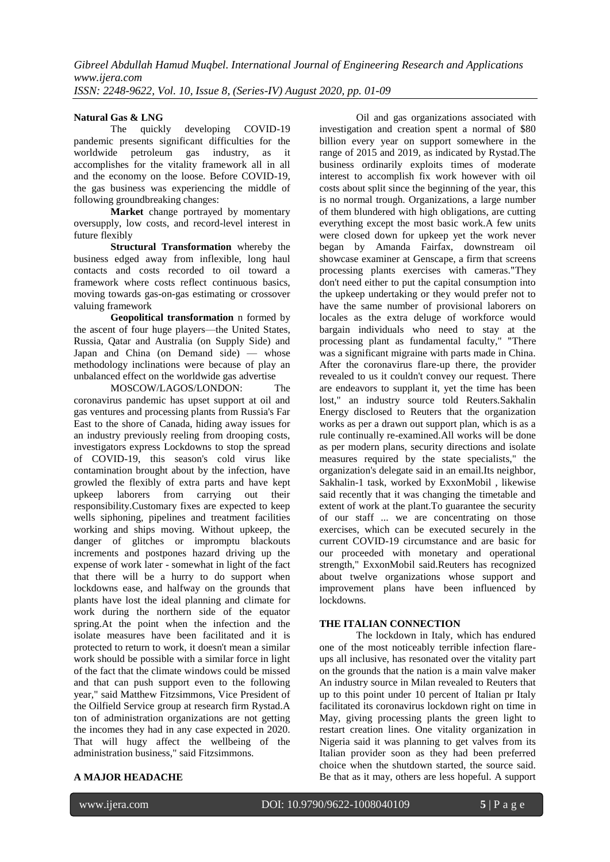## **Natural Gas & LNG**

The quickly developing COVID-19 pandemic presents significant difficulties for the worldwide petroleum gas industry, as it accomplishes for the vitality framework all in all and the economy on the loose. Before COVID-19, the gas business was experiencing the middle of following groundbreaking changes:

**Market** change portrayed by momentary oversupply, low costs, and record-level interest in future flexibly

**Structural Transformation** whereby the business edged away from inflexible, long haul contacts and costs recorded to oil toward a framework where costs reflect continuous basics, moving towards gas-on-gas estimating or crossover valuing framework

**Geopolitical transformation** n formed by the ascent of four huge players—the United States, Russia, Qatar and Australia (on Supply Side) and Japan and China (on Demand side) — whose methodology inclinations were because of play an unbalanced effect on the worldwide gas advertise

MOSCOW/LAGOS/LONDON: The coronavirus pandemic has upset support at oil and gas ventures and processing plants from Russia's Far East to the shore of Canada, hiding away issues for an industry previously reeling from drooping costs, investigators express Lockdowns to stop the spread of COVID-19, this season's cold virus like contamination brought about by the infection, have growled the flexibly of extra parts and have kept upkeep laborers from carrying out their responsibility.Customary fixes are expected to keep wells siphoning, pipelines and treatment facilities working and ships moving. Without upkeep, the danger of glitches or impromptu blackouts increments and postpones hazard driving up the expense of work later - somewhat in light of the fact that there will be a hurry to do support when lockdowns ease, and halfway on the grounds that plants have lost the ideal planning and climate for work during the northern side of the equator spring.At the point when the infection and the isolate measures have been facilitated and it is protected to return to work, it doesn't mean a similar work should be possible with a similar force in light of the fact that the climate windows could be missed and that can push support even to the following year," said Matthew Fitzsimmons, Vice President of the Oilfield Service group at research firm Rystad.A ton of administration organizations are not getting the incomes they had in any case expected in 2020. That will hugy affect the wellbeing of the administration business," said Fitzsimmons.

Oil and gas organizations associated with investigation and creation spent a normal of \$80 billion every year on support somewhere in the range of 2015 and 2019, as indicated by Rystad.The business ordinarily exploits times of moderate interest to accomplish fix work however with oil costs about split since the beginning of the year, this is no normal trough. Organizations, a large number of them blundered with high obligations, are cutting everything except the most basic work.A few units were closed down for upkeep yet the work never began by Amanda Fairfax, downstream oil showcase examiner at Genscape, a firm that screens processing plants exercises with cameras."They don't need either to put the capital consumption into the upkeep undertaking or they would prefer not to have the same number of provisional laborers on locales as the extra deluge of workforce would bargain individuals who need to stay at the processing plant as fundamental faculty," "There was a significant migraine with parts made in China. After the coronavirus flare-up there, the provider revealed to us it couldn't convey our request. There are endeavors to supplant it, yet the time has been lost," an industry source told Reuters.Sakhalin Energy disclosed to Reuters that the organization works as per a drawn out support plan, which is as a rule continually re-examined.All works will be done as per modern plans, security directions and isolate measures required by the state specialists," the organization's delegate said in an email.Its neighbor, Sakhalin-1 task, worked by ExxonMobil , likewise said recently that it was changing the timetable and extent of work at the plant.To guarantee the security of our staff ... we are concentrating on those exercises, which can be executed securely in the current COVID-19 circumstance and are basic for our proceeded with monetary and operational strength," ExxonMobil said.Reuters has recognized about twelve organizations whose support and improvement plans have been influenced by lockdowns.

#### **THE ITALIAN CONNECTION**

The lockdown in Italy, which has endured one of the most noticeably terrible infection flareups all inclusive, has resonated over the vitality part on the grounds that the nation is a main valve maker An industry source in Milan revealed to Reuters that up to this point under 10 percent of Italian pr Italy facilitated its coronavirus lockdown right on time in May, giving processing plants the green light to restart creation lines. One vitality organization in Nigeria said it was planning to get valves from its Italian provider soon as they had been preferred choice when the shutdown started, the source said. Be that as it may, others are less hopeful. A support

# **A MAJOR HEADACHE**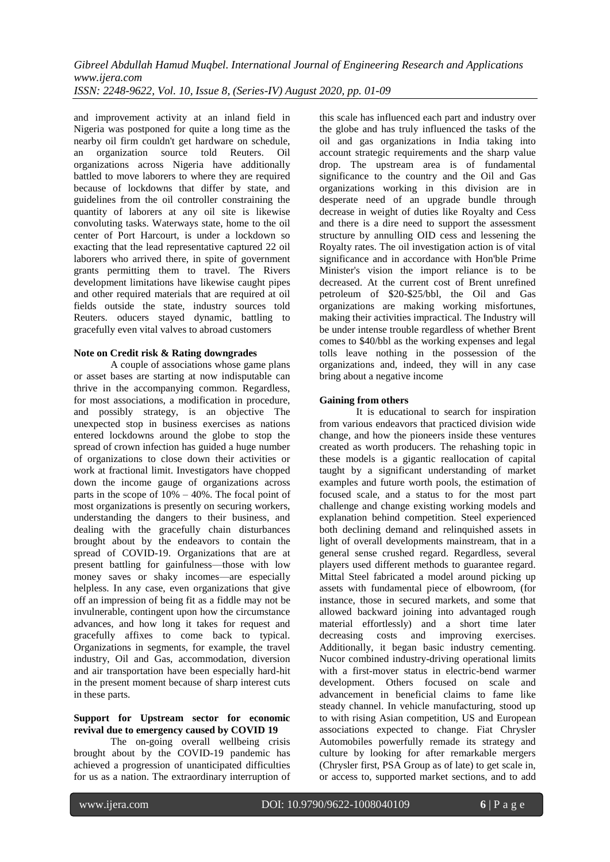and improvement activity at an inland field in Nigeria was postponed for quite a long time as the nearby oil firm couldn't get hardware on schedule, an organization source told Reuters. Oil organizations across Nigeria have additionally battled to move laborers to where they are required because of lockdowns that differ by state, and guidelines from the oil controller constraining the quantity of laborers at any oil site is likewise convoluting tasks. Waterways state, home to the oil center of Port Harcourt, is under a lockdown so exacting that the lead representative captured 22 oil laborers who arrived there, in spite of government grants permitting them to travel. The Rivers development limitations have likewise caught pipes and other required materials that are required at oil fields outside the state, industry sources told Reuters. oducers stayed dynamic, battling to gracefully even vital valves to abroad customers

## **Note on Credit risk & Rating downgrades**

A couple of associations whose game plans or asset bases are starting at now indisputable can thrive in the accompanying common. Regardless, for most associations, a modification in procedure, and possibly strategy, is an objective The unexpected stop in business exercises as nations entered lockdowns around the globe to stop the spread of crown infection has guided a huge number of organizations to close down their activities or work at fractional limit. Investigators have chopped down the income gauge of organizations across parts in the scope of 10% – 40%. The focal point of most organizations is presently on securing workers, understanding the dangers to their business, and dealing with the gracefully chain disturbances brought about by the endeavors to contain the spread of COVID-19. Organizations that are at present battling for gainfulness—those with low money saves or shaky incomes—are especially helpless. In any case, even organizations that give off an impression of being fit as a fiddle may not be invulnerable, contingent upon how the circumstance advances, and how long it takes for request and gracefully affixes to come back to typical. Organizations in segments, for example, the travel industry, Oil and Gas, accommodation, diversion and air transportation have been especially hard-hit in the present moment because of sharp interest cuts in these parts.

#### **Support for Upstream sector for economic revival due to emergency caused by COVID 19**

The on-going overall wellbeing crisis brought about by the COVID-19 pandemic has achieved a progression of unanticipated difficulties for us as a nation. The extraordinary interruption of this scale has influenced each part and industry over the globe and has truly influenced the tasks of the oil and gas organizations in India taking into account strategic requirements and the sharp value drop. The upstream area is of fundamental significance to the country and the Oil and Gas organizations working in this division are in desperate need of an upgrade bundle through decrease in weight of duties like Royalty and Cess and there is a dire need to support the assessment structure by annulling OID cess and lessening the Royalty rates. The oil investigation action is of vital significance and in accordance with Hon'ble Prime Minister's vision the import reliance is to be decreased. At the current cost of Brent unrefined petroleum of \$20-\$25/bbl, the Oil and Gas organizations are making working misfortunes, making their activities impractical. The Industry will be under intense trouble regardless of whether Brent comes to \$40/bbl as the working expenses and legal tolls leave nothing in the possession of the organizations and, indeed, they will in any case bring about a negative income

## **Gaining from others**

It is educational to search for inspiration from various endeavors that practiced division wide change, and how the pioneers inside these ventures created as worth producers. The rehashing topic in these models is a gigantic reallocation of capital taught by a significant understanding of market examples and future worth pools, the estimation of focused scale, and a status to for the most part challenge and change existing working models and explanation behind competition. Steel experienced both declining demand and relinquished assets in light of overall developments mainstream, that in a general sense crushed regard. Regardless, several players used different methods to guarantee regard. Mittal Steel fabricated a model around picking up assets with fundamental piece of elbowroom, (for instance, those in secured markets, and some that allowed backward joining into advantaged rough material effortlessly) and a short time later decreasing costs and improving exercises. Additionally, it began basic industry cementing. Nucor combined industry-driving operational limits with a first-mover status in electric-bend warmer development. Others focused on scale and advancement in beneficial claims to fame like steady channel. In vehicle manufacturing, stood up to with rising Asian competition, US and European associations expected to change. Fiat Chrysler Automobiles powerfully remade its strategy and culture by looking for after remarkable mergers (Chrysler first, PSA Group as of late) to get scale in, or access to, supported market sections, and to add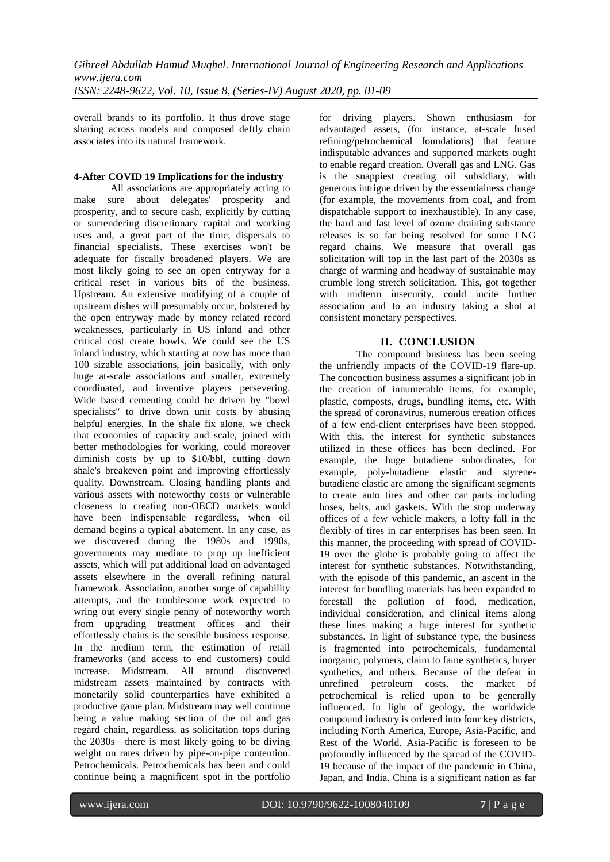overall brands to its portfolio. It thus drove stage sharing across models and composed deftly chain associates into its natural framework.

# **4-After COVID 19 Implications for the industry**

All associations are appropriately acting to make sure about delegates' prosperity and prosperity, and to secure cash, explicitly by cutting or surrendering discretionary capital and working uses and, a great part of the time, dispersals to financial specialists. These exercises won't be adequate for fiscally broadened players. We are most likely going to see an open entryway for a critical reset in various bits of the business. Upstream. An extensive modifying of a couple of upstream dishes will presumably occur, bolstered by the open entryway made by money related record weaknesses, particularly in US inland and other critical cost create bowls. We could see the US inland industry, which starting at now has more than 100 sizable associations, join basically, with only huge at-scale associations and smaller, extremely coordinated, and inventive players persevering. Wide based cementing could be driven by "bowl specialists" to drive down unit costs by abusing helpful energies. In the shale fix alone, we check that economies of capacity and scale, joined with better methodologies for working, could moreover diminish costs by up to \$10/bbl, cutting down shale's breakeven point and improving effortlessly quality. Downstream. Closing handling plants and various assets with noteworthy costs or vulnerable closeness to creating non-OECD markets would have been indispensable regardless, when oil demand begins a typical abatement. In any case, as we discovered during the 1980s and 1990s, governments may mediate to prop up inefficient assets, which will put additional load on advantaged assets elsewhere in the overall refining natural framework. Association, another surge of capability attempts, and the troublesome work expected to wring out every single penny of noteworthy worth from upgrading treatment offices and their effortlessly chains is the sensible business response. In the medium term, the estimation of retail frameworks (and access to end customers) could increase. Midstream. All around discovered midstream assets maintained by contracts with monetarily solid counterparties have exhibited a productive game plan. Midstream may well continue being a value making section of the oil and gas regard chain, regardless, as solicitation tops during the 2030s—there is most likely going to be diving weight on rates driven by pipe-on-pipe contention. Petrochemicals. Petrochemicals has been and could continue being a magnificent spot in the portfolio for driving players. Shown enthusiasm for advantaged assets, (for instance, at-scale fused refining/petrochemical foundations) that feature indisputable advances and supported markets ought to enable regard creation. Overall gas and LNG. Gas is the snappiest creating oil subsidiary, with generous intrigue driven by the essentialness change (for example, the movements from coal, and from dispatchable support to inexhaustible). In any case, the hard and fast level of ozone draining substance releases is so far being resolved for some LNG regard chains. We measure that overall gas solicitation will top in the last part of the 2030s as charge of warming and headway of sustainable may crumble long stretch solicitation. This, got together with midterm insecurity, could incite further association and to an industry taking a shot at consistent monetary perspectives.

# **II. CONCLUSION**

The compound business has been seeing the unfriendly impacts of the COVID-19 flare-up. The concoction business assumes a significant job in the creation of innumerable items, for example, plastic, composts, drugs, bundling items, etc. With the spread of coronavirus, numerous creation offices of a few end-client enterprises have been stopped. With this, the interest for synthetic substances utilized in these offices has been declined. For example, the huge butadiene subordinates, for example, poly-butadiene elastic and styrenebutadiene elastic are among the significant segments to create auto tires and other car parts including hoses, belts, and gaskets. With the stop underway offices of a few vehicle makers, a lofty fall in the flexibly of tires in car enterprises has been seen. In this manner, the proceeding with spread of COVID-19 over the globe is probably going to affect the interest for synthetic substances. Notwithstanding, with the episode of this pandemic, an ascent in the interest for bundling materials has been expanded to forestall the pollution of food, medication, individual consideration, and clinical items along these lines making a huge interest for synthetic substances. In light of substance type, the business is fragmented into petrochemicals, fundamental inorganic, polymers, claim to fame synthetics, buyer synthetics, and others. Because of the defeat in unrefined petroleum costs, the market of petrochemical is relied upon to be generally influenced. In light of geology, the worldwide compound industry is ordered into four key districts, including North America, Europe, Asia-Pacific, and Rest of the World. Asia-Pacific is foreseen to be profoundly influenced by the spread of the COVID-19 because of the impact of the pandemic in China, Japan, and India. China is a significant nation as far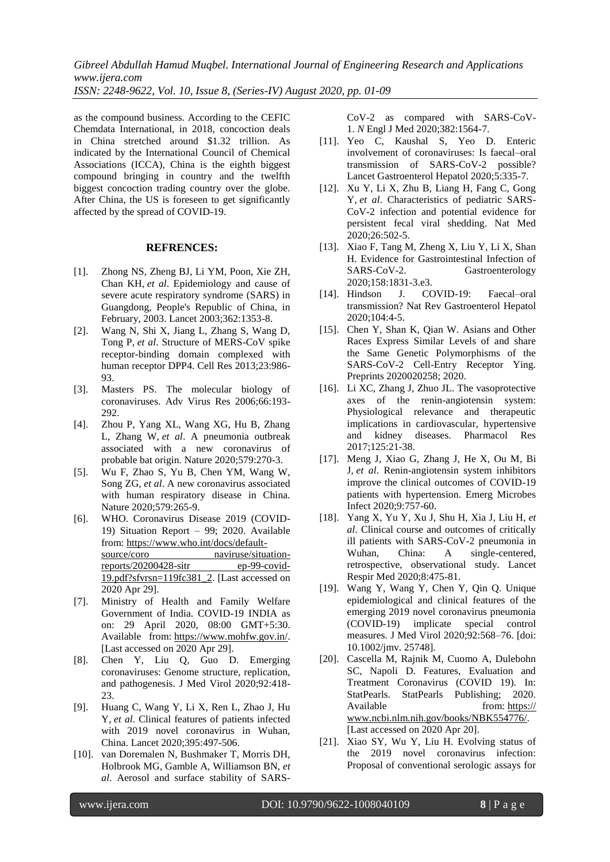as the compound business. According to the CEFIC Chemdata International, in 2018, concoction deals in China stretched around \$1.32 trillion. As indicated by the International Council of Chemical Associations (ICCA), China is the eighth biggest compound bringing in country and the twelfth biggest concoction trading country over the globe. After China, the US is foreseen to get significantly affected by the spread of COVID-19.

#### **REFRENCES:**

- [1]. Zhong NS, Zheng BJ, Li YM, Poon, Xie ZH, Chan KH, *et al*. Epidemiology and cause of severe acute respiratory syndrome (SARS) in Guangdong, People's Republic of China, in February, 2003. Lancet 2003;362:1353-8.
- [2]. Wang N, Shi X, Jiang L, Zhang S, Wang D, Tong P, *et al*. Structure of MERS-CoV spike receptor-binding domain complexed with human receptor DPP4. Cell Res 2013;23:986- 93.
- [3]. Masters PS. The molecular biology of coronaviruses. Adv Virus Res 2006;66:193- 292.
- [4]. Zhou P, Yang XL, Wang XG, Hu B, Zhang L, Zhang W, *et al*. A pneumonia outbreak associated with a new coronavirus of probable bat origin. Nature 2020;579:270-3.
- [5]. Wu F, Zhao S, Yu B, Chen YM, Wang W, Song ZG, *et al*. A new coronavirus associated with human respiratory disease in China. Nature 2020;579:265-9.
- [6]. WHO. Coronavirus Disease 2019 (COVID-19) Situation Report – 99; 2020. Available from: [https://www.who.int/docs/default](https://www.who.int/docs/default-source/coro%20naviruse/situation-reports/20200428-sitr%20ep-99-covid-19.pdf?sfvrsn=119fc381_2)[source/coro naviruse/situation](https://www.who.int/docs/default-source/coro%20naviruse/situation-reports/20200428-sitr%20ep-99-covid-19.pdf?sfvrsn=119fc381_2)[reports/20200428-sitr ep-99-covid-](https://www.who.int/docs/default-source/coro%20naviruse/situation-reports/20200428-sitr%20ep-99-covid-19.pdf?sfvrsn=119fc381_2)[19.pdf?sfvrsn=119fc381\\_2.](https://www.who.int/docs/default-source/coro%20naviruse/situation-reports/20200428-sitr%20ep-99-covid-19.pdf?sfvrsn=119fc381_2) [Last accessed on 2020 Apr 29].
- [7]. Ministry of Health and Family Welfare Government of India. COVID-19 INDIA as on: 29 April 2020, 08:00 GMT+5:30. Available from: [https://www.mohfw.gov.in/.](https://www.mohfw.gov.in/) [Last accessed on 2020 Apr 29].
- [8]. Chen Y, Liu Q, Guo D. Emerging coronaviruses: Genome structure, replication, and pathogenesis. J Med Virol 2020;92:418- 23.
- [9]. Huang C, Wang Y, Li X, Ren L, Zhao J, Hu Y, *et al*. Clinical features of patients infected with 2019 novel coronavirus in Wuhan, China. Lancet 2020;395:497-506.
- [10]. van Doremalen N, Bushmaker T, Morris DH, Holbrook MG, Gamble A, Williamson BN, *et al*. Aerosol and surface stability of SARS-

CoV-2 as compared with SARS-CoV-1. *N* Engl J Med 2020;382:1564-7.

- [11]. Yeo C, Kaushal S, Yeo D. Enteric involvement of coronaviruses: Is faecal–oral transmission of SARS-CoV-2 possible? Lancet Gastroenterol Hepatol 2020;5:335-7.
- [12]. Xu Y, Li X, Zhu B, Liang H, Fang C, Gong Y, *et al*. Characteristics of pediatric SARS-CoV-2 infection and potential evidence for persistent fecal viral shedding. Nat Med 2020;26:502-5.
- [13]. Xiao F, Tang M, Zheng X, Liu Y, Li X, Shan H. Evidence for Gastrointestinal Infection of SARS-CoV-2. Gastroenterology 2020;158:1831-3.e3.
- [14]. Hindson J. COVID-19: Faecal–oral transmission? Nat Rev Gastroenterol Hepatol 2020;104:4-5.
- [15]. Chen Y, Shan K, Qian W. Asians and Other Races Express Similar Levels of and share the Same Genetic Polymorphisms of the SARS-CoV-2 Cell-Entry Receptor Ying. Preprints 2020020258; 2020.
- [16]. Li XC, Zhang J, Zhuo JL. The vasoprotective axes of the renin-angiotensin system: Physiological relevance and therapeutic implications in cardiovascular, hypertensive and kidney diseases. Pharmacol Res 2017;125:21-38.
- [17]. Meng J, Xiao G, Zhang J, He X, Ou M, Bi J, *et al*. Renin-angiotensin system inhibitors improve the clinical outcomes of COVID-19 patients with hypertension. Emerg Microbes Infect 2020;9:757-60.
- [18]. Yang X, Yu Y, Xu J, Shu H, Xia J, Liu H, *et al*. Clinical course and outcomes of critically ill patients with SARS-CoV-2 pneumonia in Wuhan, China: A single-centered, retrospective, observational study. Lancet Respir Med 2020;8:475-81.
- [19]. Wang Y, Wang Y, Chen Y, Qin Q. Unique epidemiological and clinical features of the emerging 2019 novel coronavirus pneumonia (COVID-19) implicate special control measures. J Med Virol 2020;92:568–76. [doi: 10.1002/jmv. 25748].
- [20]. Cascella M, Rajnik M, Cuomo A, Dulebohn SC, Napoli D. Features, Evaluation and Treatment Coronavirus (COVID 19). In: StatPearls. StatPearls Publishing; 2020. Available from: https:// www.ncbi.nlm.nih.gov/books/NBK554776/. [Last accessed on 2020 Apr 20].
- [21]. Xiao SY, Wu Y, Liu H. Evolving status of the 2019 novel coronavirus infection: Proposal of conventional serologic assays for